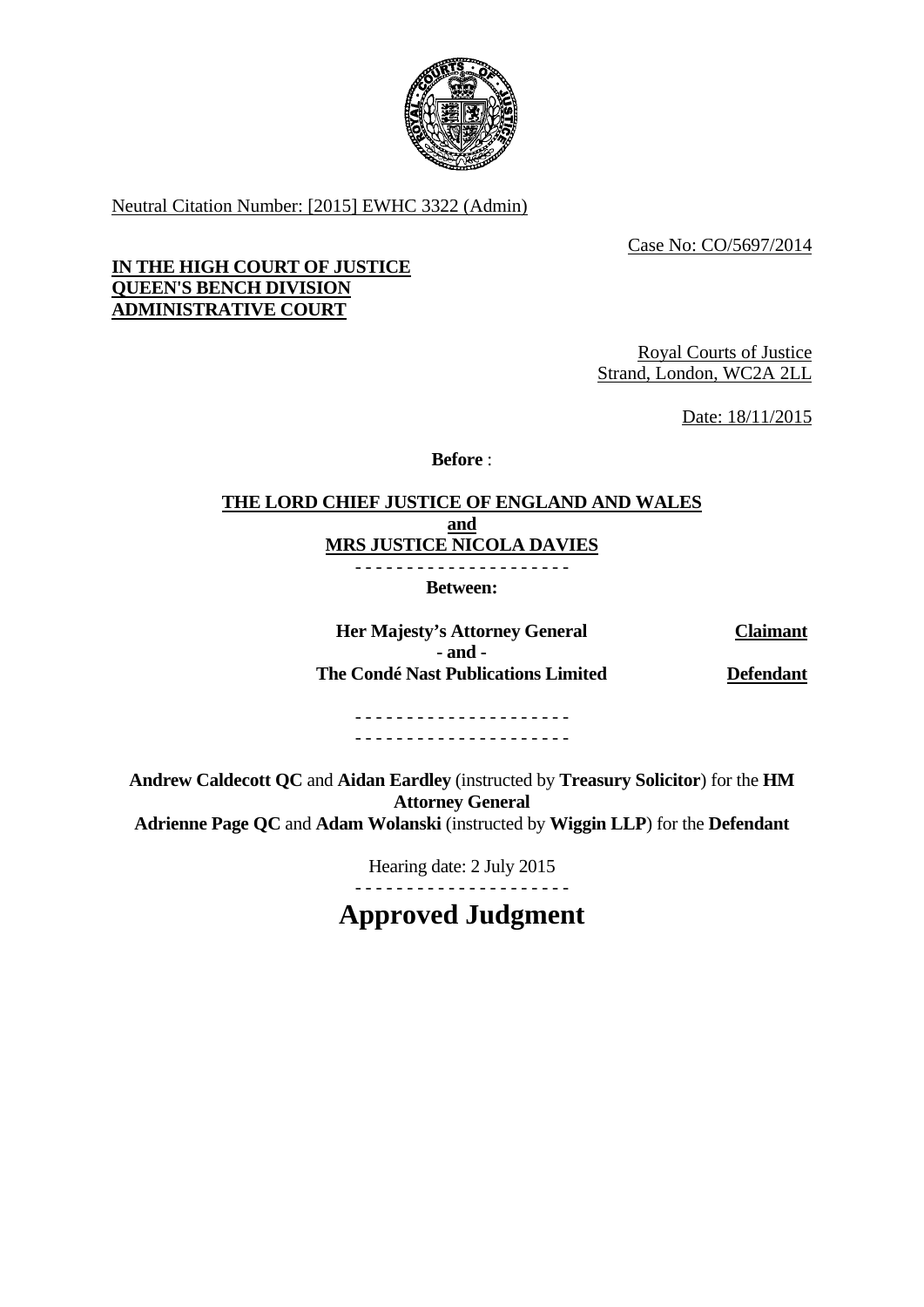

Neutral Citation Number: [2015] EWHC 3322 (Admin)

Case No: CO/5697/2014

# **IN THE HIGH COURT OF JUSTICE QUEEN'S BENCH DIVISION ADMINISTRATIVE COURT**

Royal Courts of Justice Strand, London, WC2A 2LL

Date: 18/11/2015

**Before** :

# **THE LORD CHIEF JUSTICE OF ENGLAND AND WALES and MRS JUSTICE NICOLA DAVIES**

- - - - - - - - - - - - - - - - - - - - -

**Between:** 

**Her Majesty's Attorney General Claimant - and - The Condé Nast Publications Limited Defendant**

- - - - - - - - - - - - - - - - - - - - - - - - - - - - - - - - - - - - - - - - - -

**Andrew Caldecott QC** and **Aidan Eardley** (instructed by **Treasury Solicitor**) for the **HM Attorney General Adrienne Page QC** and **Adam Wolanski** (instructed by **Wiggin LLP**) for the **Defendant**

Hearing date: 2 July 2015

- - - - - - - - - - - - - - - - - - - - - **Approved Judgment**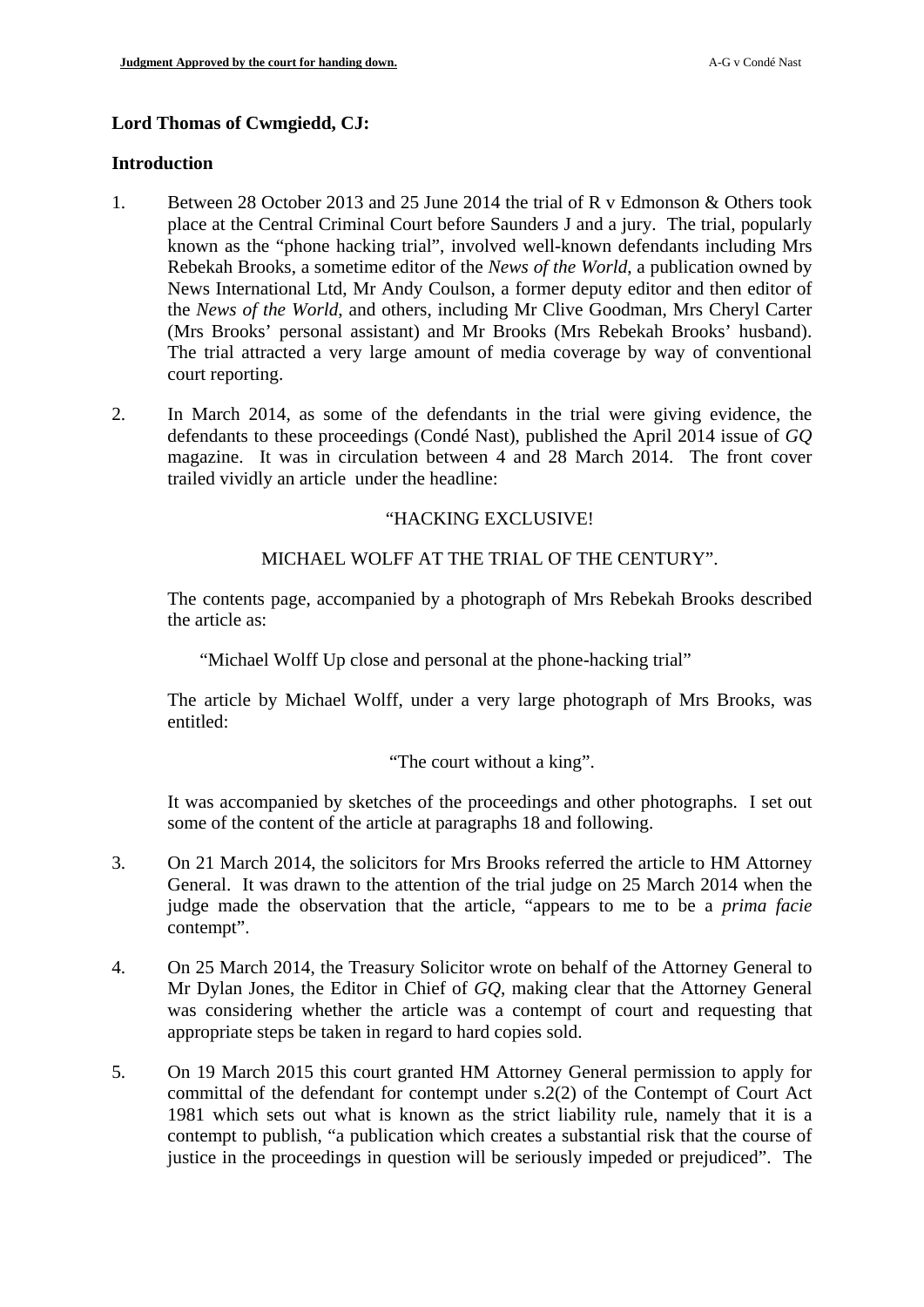### **Lord Thomas of Cwmgiedd, CJ:**

#### **Introduction**

- 1. Between 28 October 2013 and 25 June 2014 the trial of R v Edmonson & Others took place at the Central Criminal Court before Saunders J and a jury. The trial, popularly known as the "phone hacking trial", involved well-known defendants including Mrs Rebekah Brooks, a sometime editor of the *News of the World*, a publication owned by News International Ltd, Mr Andy Coulson, a former deputy editor and then editor of the *News of the World*, and others, including Mr Clive Goodman, Mrs Cheryl Carter (Mrs Brooks' personal assistant) and Mr Brooks (Mrs Rebekah Brooks' husband). The trial attracted a very large amount of media coverage by way of conventional court reporting.
- 2. In March 2014, as some of the defendants in the trial were giving evidence, the defendants to these proceedings (Condé Nast), published the April 2014 issue of *GQ* magazine. It was in circulation between 4 and 28 March 2014. The front cover trailed vividly an article under the headline:

### "HACKING EXCLUSIVE!

## MICHAEL WOLFF AT THE TRIAL OF THE CENTURY".

The contents page, accompanied by a photograph of Mrs Rebekah Brooks described the article as:

"Michael Wolff Up close and personal at the phone-hacking trial"

The article by Michael Wolff, under a very large photograph of Mrs Brooks, was entitled:

"The court without a king".

It was accompanied by sketches of the proceedings and other photographs. I set out some of the content of the article at paragraphs [18](#page-5-0) and following.

- <span id="page-1-0"></span>3. On 21 March 2014, the solicitors for Mrs Brooks referred the article to HM Attorney General. It was drawn to the attention of the trial judge on 25 March 2014 when the judge made the observation that the article, "appears to me to be a *prima facie* contempt".
- 4. On 25 March 2014, the Treasury Solicitor wrote on behalf of the Attorney General to Mr Dylan Jones, the Editor in Chief of *GQ*, making clear that the Attorney General was considering whether the article was a contempt of court and requesting that appropriate steps be taken in regard to hard copies sold.
- 5. On 19 March 2015 this court granted HM Attorney General permission to apply for committal of the defendant for contempt under s.2(2) of the Contempt of Court Act 1981 which sets out what is known as the strict liability rule, namely that it is a contempt to publish, "a publication which creates a substantial risk that the course of justice in the proceedings in question will be seriously impeded or prejudiced". The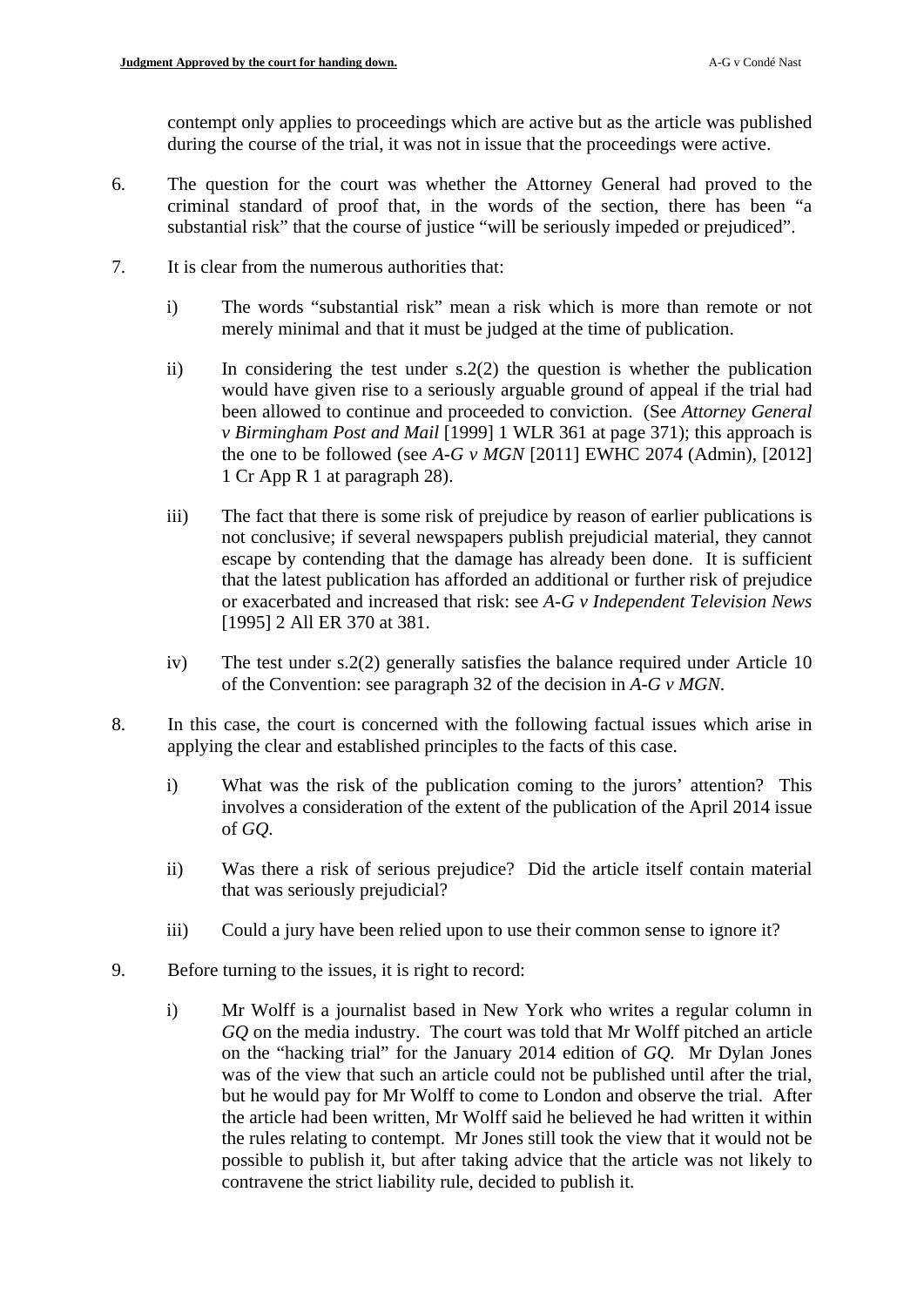contempt only applies to proceedings which are active but as the article was published during the course of the trial, it was not in issue that the proceedings were active.

- 6. The question for the court was whether the Attorney General had proved to the criminal standard of proof that, in the words of the section, there has been "a substantial risk" that the course of justice "will be seriously impeded or prejudiced".
- 7. It is clear from the numerous authorities that:
	- i) The words "substantial risk" mean a risk which is more than remote or not merely minimal and that it must be judged at the time of publication.
	- ii) In considering the test under  $s.2(2)$  the question is whether the publication would have given rise to a seriously arguable ground of appeal if the trial had been allowed to continue and proceeded to conviction. (See *Attorney General v Birmingham Post and Mail* [1999] 1 WLR 361 at page 371); this approach is the one to be followed (see  $A-G \nu MGN$  [2011] EWHC 2074 (Admin), [2012] 1 Cr App R 1 at paragraph 28).
	- iii) The fact that there is some risk of prejudice by reason of earlier publications is not conclusive; if several newspapers publish prejudicial material, they cannot escape by contending that the damage has already been done. It is sufficient that the latest publication has afforded an additional or further risk of prejudice or exacerbated and increased that risk: see *A-G v Independent Television News*  [1995] 2 All ER 370 at 381.
	- iv) The test under s.2(2) generally satisfies the balance required under Article 10 of the Convention: see paragraph 32 of the decision in *A-G v MGN*.
- 8. In this case, the court is concerned with the following factual issues which arise in applying the clear and established principles to the facts of this case.
	- i) What was the risk of the publication coming to the jurors' attention? This involves a consideration of the extent of the publication of the April 2014 issue of *GQ*.
	- ii) Was there a risk of serious prejudice? Did the article itself contain material that was seriously prejudicial?
	- iii) Could a jury have been relied upon to use their common sense to ignore it?
- 9. Before turning to the issues, it is right to record:
	- i) Mr Wolff is a journalist based in New York who writes a regular column in *GQ* on the media industry. The court was told that Mr Wolff pitched an article on the "hacking trial" for the January 2014 edition of *GQ.* Mr Dylan Jones was of the view that such an article could not be published until after the trial, but he would pay for Mr Wolff to come to London and observe the trial. After the article had been written, Mr Wolff said he believed he had written it within the rules relating to contempt. Mr Jones still took the view that it would not be possible to publish it, but after taking advice that the article was not likely to contravene the strict liability rule, decided to publish it.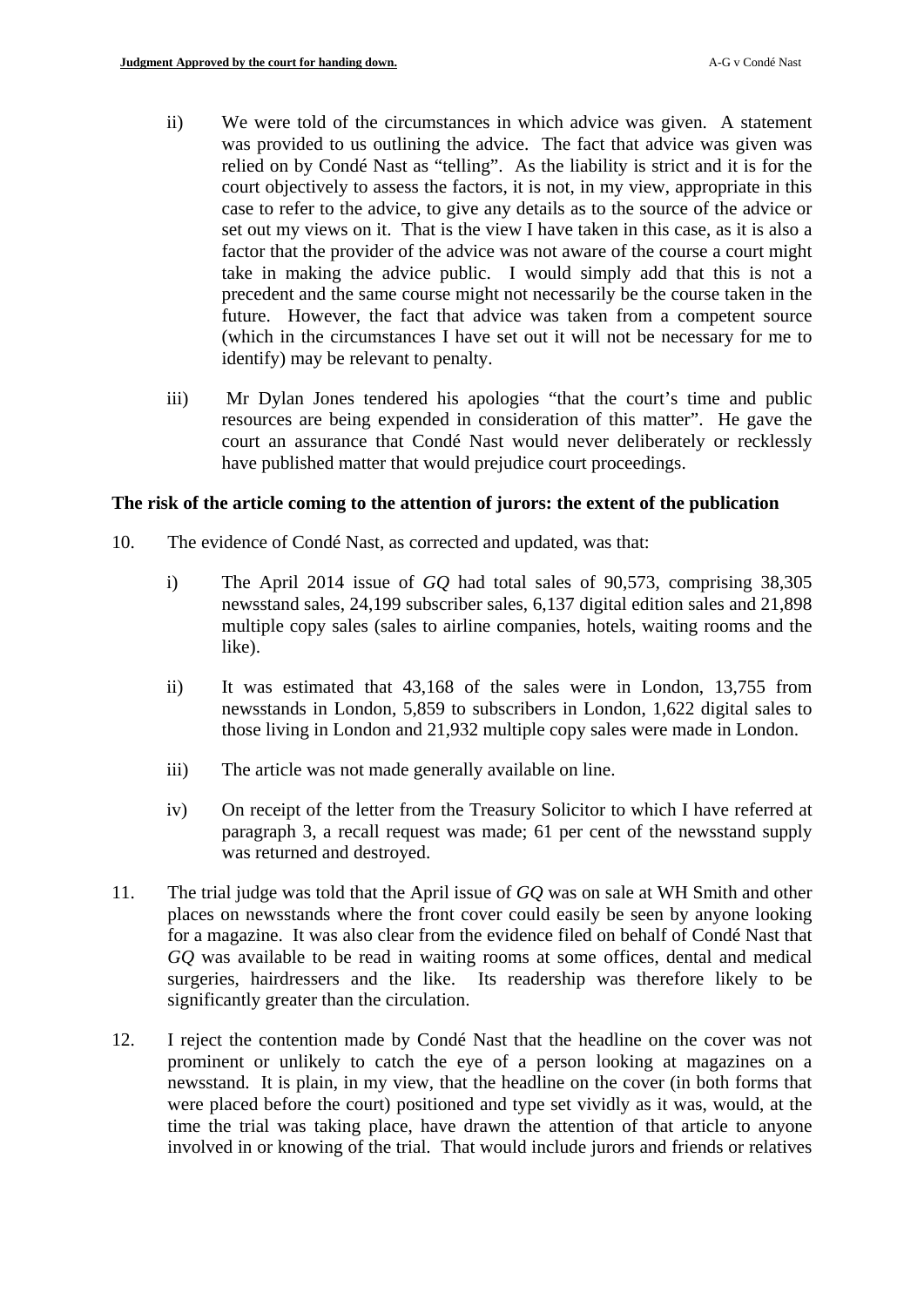- ii) We were told of the circumstances in which advice was given. A statement was provided to us outlining the advice. The fact that advice was given was relied on by Condé Nast as "telling". As the liability is strict and it is for the court objectively to assess the factors, it is not, in my view, appropriate in this case to refer to the advice, to give any details as to the source of the advice or set out my views on it. That is the view I have taken in this case, as it is also a factor that the provider of the advice was not aware of the course a court might take in making the advice public. I would simply add that this is not a precedent and the same course might not necessarily be the course taken in the future. However, the fact that advice was taken from a competent source (which in the circumstances I have set out it will not be necessary for me to identify) may be relevant to penalty.
- iii) Mr Dylan Jones tendered his apologies "that the court's time and public resources are being expended in consideration of this matter". He gave the court an assurance that Condé Nast would never deliberately or recklessly have published matter that would prejudice court proceedings.

## **The risk of the article coming to the attention of jurors: the extent of the publication**

- 10. The evidence of Condé Nast, as corrected and updated, was that:
	- i) The April 2014 issue of *GQ* had total sales of 90,573, comprising 38,305 newsstand sales, 24,199 subscriber sales, 6,137 digital edition sales and 21,898 multiple copy sales (sales to airline companies, hotels, waiting rooms and the like).
	- ii) It was estimated that 43,168 of the sales were in London, 13,755 from newsstands in London, 5,859 to subscribers in London, 1,622 digital sales to those living in London and 21,932 multiple copy sales were made in London.
	- iii) The article was not made generally available on line.
	- iv) On receipt of the letter from the Treasury Solicitor to which I have referred at paragraph [3](#page-1-0), a recall request was made; 61 per cent of the newsstand supply was returned and destroyed.
- 11. The trial judge was told that the April issue of *GQ* was on sale at WH Smith and other places on newsstands where the front cover could easily be seen by anyone looking for a magazine. It was also clear from the evidence filed on behalf of Condé Nast that *GQ* was available to be read in waiting rooms at some offices, dental and medical surgeries, hairdressers and the like. Its readership was therefore likely to be significantly greater than the circulation.
- 12. I reject the contention made by Condé Nast that the headline on the cover was not prominent or unlikely to catch the eye of a person looking at magazines on a newsstand. It is plain, in my view, that the headline on the cover (in both forms that were placed before the court) positioned and type set vividly as it was, would, at the time the trial was taking place, have drawn the attention of that article to anyone involved in or knowing of the trial. That would include jurors and friends or relatives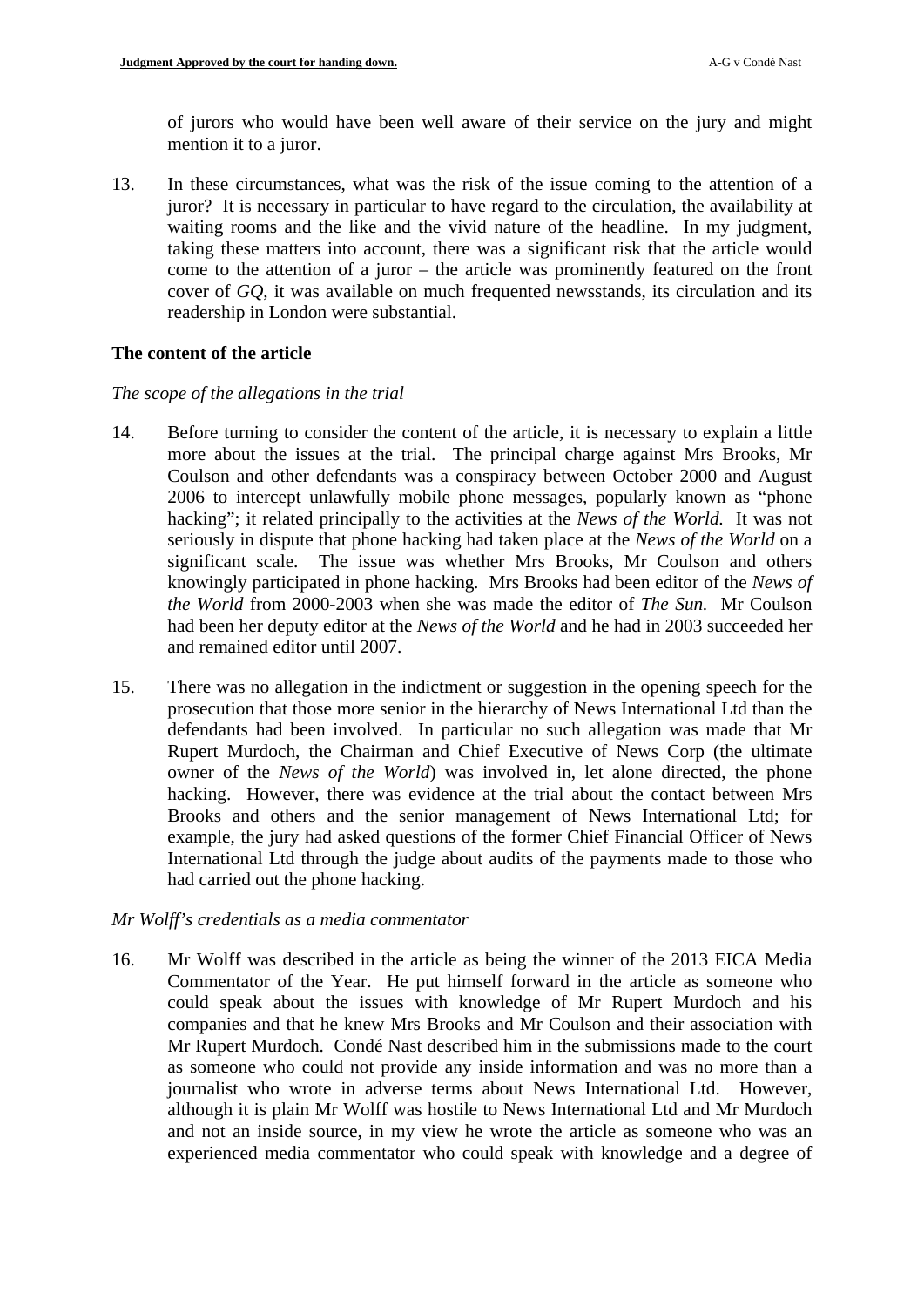of jurors who would have been well aware of their service on the jury and might mention it to a juror.

13. In these circumstances, what was the risk of the issue coming to the attention of a juror? It is necessary in particular to have regard to the circulation, the availability at waiting rooms and the like and the vivid nature of the headline. In my judgment, taking these matters into account, there was a significant risk that the article would come to the attention of a juror – the article was prominently featured on the front cover of *GQ*, it was available on much frequented newsstands, its circulation and its readership in London were substantial.

### **The content of the article**

### *The scope of the allegations in the trial*

- 14. Before turning to consider the content of the article, it is necessary to explain a little more about the issues at the trial. The principal charge against Mrs Brooks, Mr Coulson and other defendants was a conspiracy between October 2000 and August 2006 to intercept unlawfully mobile phone messages, popularly known as "phone hacking"; it related principally to the activities at the *News of the World.* It was not seriously in dispute that phone hacking had taken place at the *News of the World* on a significant scale. The issue was whether Mrs Brooks, Mr Coulson and others knowingly participated in phone hacking*.* Mrs Brooks had been editor of the *News of the World* from 2000-2003 when she was made the editor of *The Sun.* Mr Coulson had been her deputy editor at the *News of the World* and he had in 2003 succeeded her and remained editor until 2007.
- 15. There was no allegation in the indictment or suggestion in the opening speech for the prosecution that those more senior in the hierarchy of News International Ltd than the defendants had been involved. In particular no such allegation was made that Mr Rupert Murdoch, the Chairman and Chief Executive of News Corp (the ultimate owner of the *News of the World*) was involved in, let alone directed, the phone hacking. However, there was evidence at the trial about the contact between Mrs Brooks and others and the senior management of News International Ltd; for example, the jury had asked questions of the former Chief Financial Officer of News International Ltd through the judge about audits of the payments made to those who had carried out the phone hacking.

### *Mr Wolff's credentials as a media commentator*

16. Mr Wolff was described in the article as being the winner of the 2013 EICA Media Commentator of the Year. He put himself forward in the article as someone who could speak about the issues with knowledge of Mr Rupert Murdoch and his companies and that he knew Mrs Brooks and Mr Coulson and their association with Mr Rupert Murdoch. Condé Nast described him in the submissions made to the court as someone who could not provide any inside information and was no more than a journalist who wrote in adverse terms about News International Ltd. However, although it is plain Mr Wolff was hostile to News International Ltd and Mr Murdoch and not an inside source, in my view he wrote the article as someone who was an experienced media commentator who could speak with knowledge and a degree of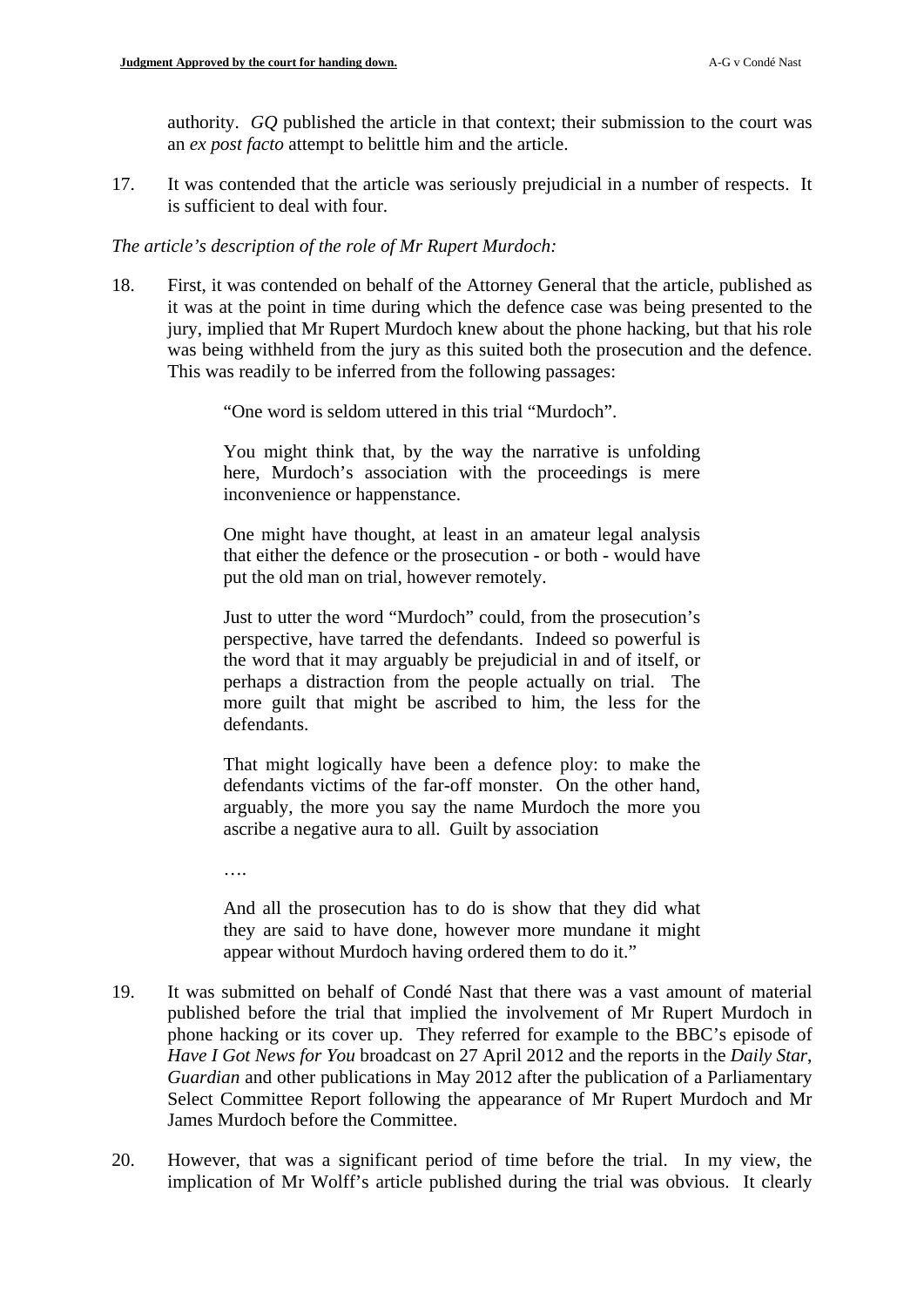authority. *GQ* published the article in that context; their submission to the court was an *ex post facto* attempt to belittle him and the article.

17. It was contended that the article was seriously prejudicial in a number of respects. It is sufficient to deal with four.

### *The article's description of the role of Mr Rupert Murdoch:*

<span id="page-5-0"></span>18. First, it was contended on behalf of the Attorney General that the article, published as it was at the point in time during which the defence case was being presented to the jury, implied that Mr Rupert Murdoch knew about the phone hacking, but that his role was being withheld from the jury as this suited both the prosecution and the defence. This was readily to be inferred from the following passages:

"One word is seldom uttered in this trial "Murdoch".

You might think that, by the way the narrative is unfolding here, Murdoch's association with the proceedings is mere inconvenience or happenstance.

One might have thought, at least in an amateur legal analysis that either the defence or the prosecution - or both - would have put the old man on trial, however remotely.

Just to utter the word "Murdoch" could, from the prosecution's perspective, have tarred the defendants. Indeed so powerful is the word that it may arguably be prejudicial in and of itself, or perhaps a distraction from the people actually on trial. The more guilt that might be ascribed to him, the less for the defendants.

That might logically have been a defence ploy: to make the defendants victims of the far-off monster. On the other hand, arguably, the more you say the name Murdoch the more you ascribe a negative aura to all. Guilt by association

….

And all the prosecution has to do is show that they did what they are said to have done, however more mundane it might appear without Murdoch having ordered them to do it."

- <span id="page-5-1"></span>19. It was submitted on behalf of Condé Nast that there was a vast amount of material published before the trial that implied the involvement of Mr Rupert Murdoch in phone hacking or its cover up. They referred for example to the BBC's episode of *Have I Got News for You* broadcast on 27 April 2012 and the reports in the *Daily Star*, *Guardian* and other publications in May 2012 after the publication of a Parliamentary Select Committee Report following the appearance of Mr Rupert Murdoch and Mr James Murdoch before the Committee.
- 20. However, that was a significant period of time before the trial. In my view, the implication of Mr Wolff's article published during the trial was obvious. It clearly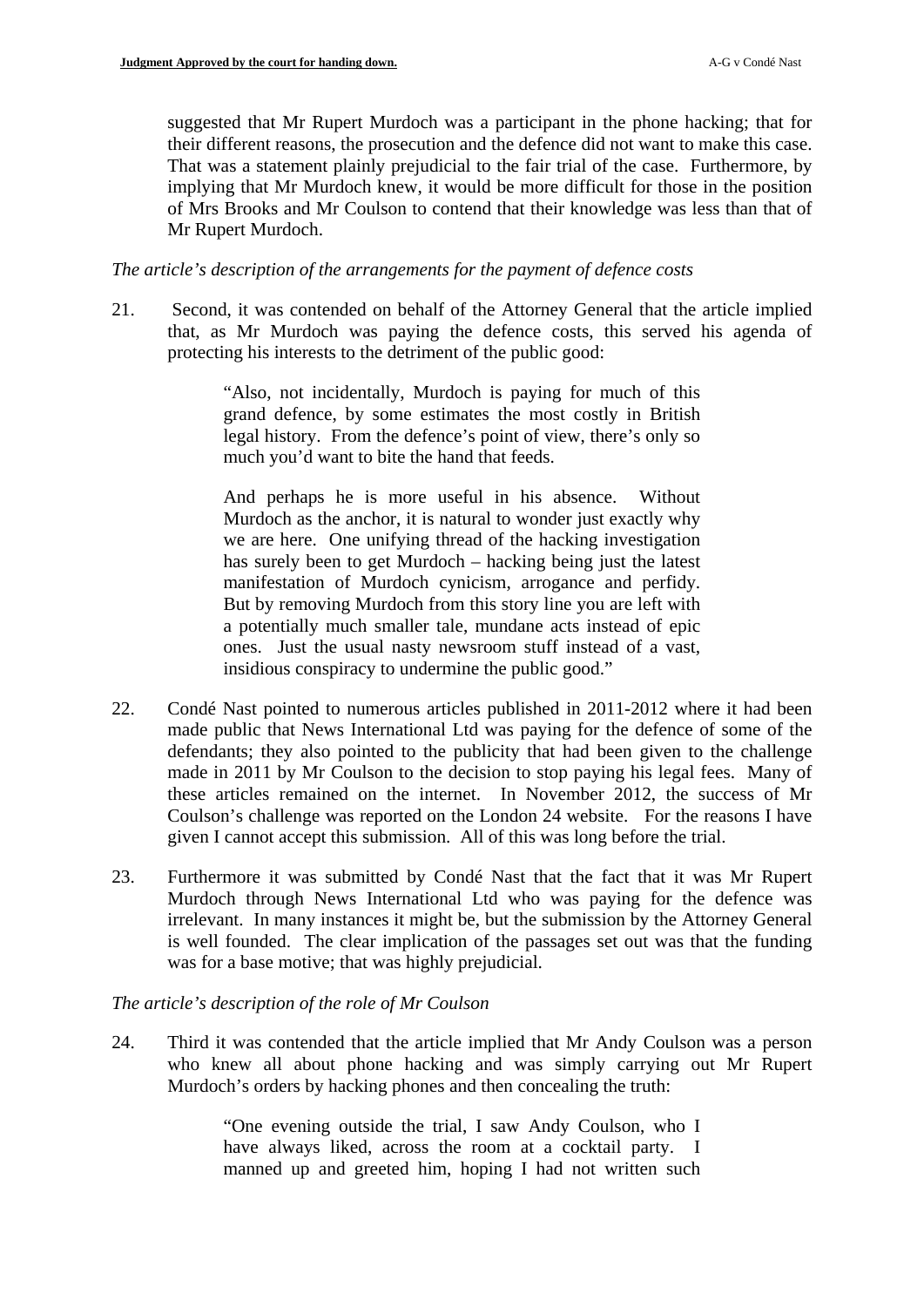suggested that Mr Rupert Murdoch was a participant in the phone hacking; that for their different reasons, the prosecution and the defence did not want to make this case. That was a statement plainly prejudicial to the fair trial of the case. Furthermore, by implying that Mr Murdoch knew, it would be more difficult for those in the position of Mrs Brooks and Mr Coulson to contend that their knowledge was less than that of Mr Rupert Murdoch.

### *The article's description of the arrangements for the payment of defence costs*

21. Second, it was contended on behalf of the Attorney General that the article implied that, as Mr Murdoch was paying the defence costs, this served his agenda of protecting his interests to the detriment of the public good:

> "Also, not incidentally, Murdoch is paying for much of this grand defence, by some estimates the most costly in British legal history. From the defence's point of view, there's only so much you'd want to bite the hand that feeds.

> And perhaps he is more useful in his absence. Without Murdoch as the anchor, it is natural to wonder just exactly why we are here. One unifying thread of the hacking investigation has surely been to get Murdoch – hacking being just the latest manifestation of Murdoch cynicism, arrogance and perfidy. But by removing Murdoch from this story line you are left with a potentially much smaller tale, mundane acts instead of epic ones. Just the usual nasty newsroom stuff instead of a vast, insidious conspiracy to undermine the public good."

- 22. Condé Nast pointed to numerous articles published in 2011-2012 where it had been made public that News International Ltd was paying for the defence of some of the defendants; they also pointed to the publicity that had been given to the challenge made in 2011 by Mr Coulson to the decision to stop paying his legal fees. Many of these articles remained on the internet. In November 2012, the success of Mr Coulson's challenge was reported on the London 24 website. For the reasons I have given I cannot accept this submission. All of this was long before the trial.
- 23. Furthermore it was submitted by Condé Nast that the fact that it was Mr Rupert Murdoch through News International Ltd who was paying for the defence was irrelevant. In many instances it might be, but the submission by the Attorney General is well founded. The clear implication of the passages set out was that the funding was for a base motive; that was highly prejudicial.

### *The article's description of the role of Mr Coulson*

24. Third it was contended that the article implied that Mr Andy Coulson was a person who knew all about phone hacking and was simply carrying out Mr Rupert Murdoch's orders by hacking phones and then concealing the truth:

> "One evening outside the trial, I saw Andy Coulson, who I have always liked, across the room at a cocktail party. I manned up and greeted him, hoping I had not written such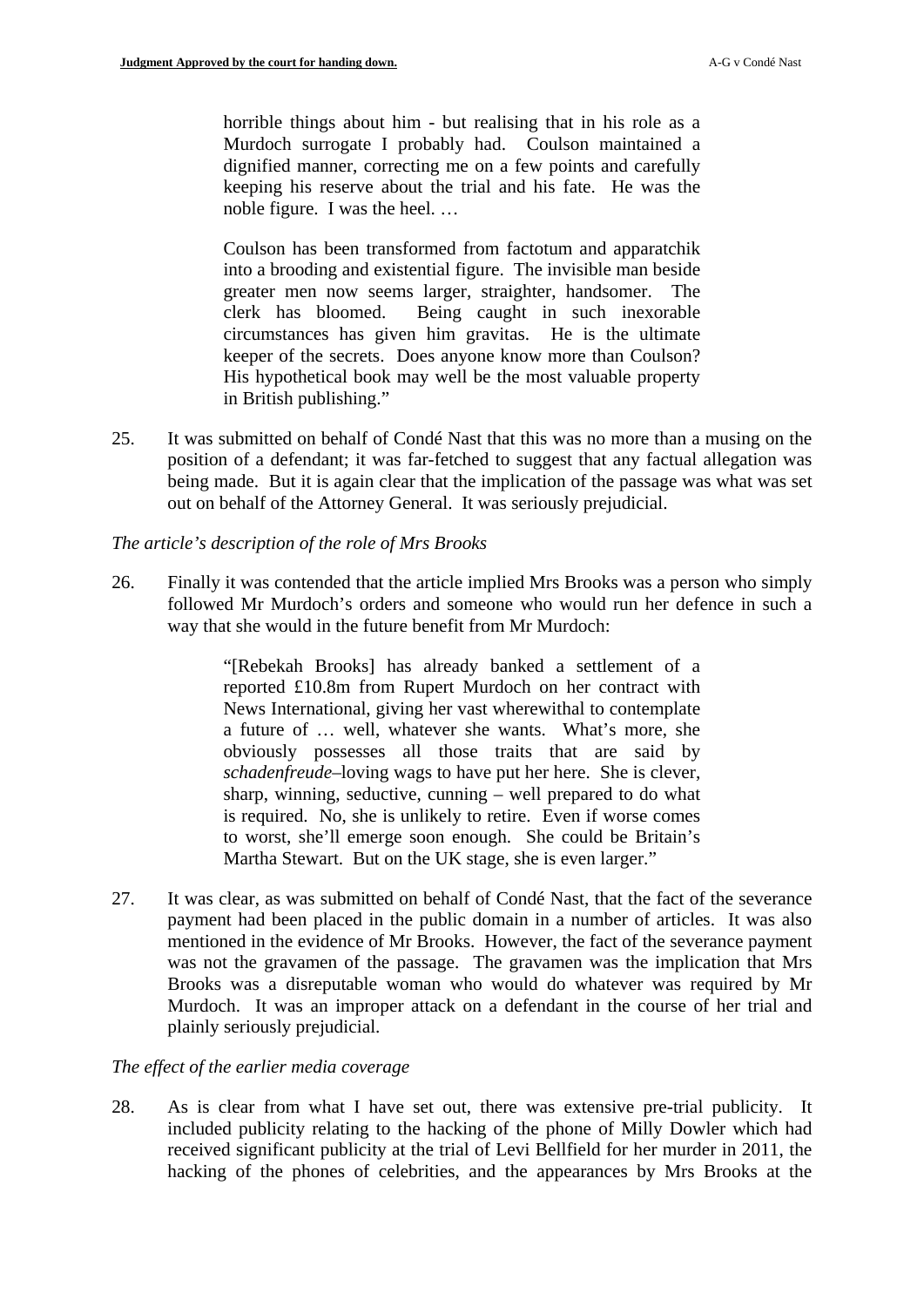horrible things about him - but realising that in his role as a Murdoch surrogate I probably had. Coulson maintained a dignified manner, correcting me on a few points and carefully keeping his reserve about the trial and his fate. He was the noble figure. I was the heel. …

Coulson has been transformed from factotum and apparatchik into a brooding and existential figure. The invisible man beside greater men now seems larger, straighter, handsomer. The clerk has bloomed. Being caught in such inexorable circumstances has given him gravitas. He is the ultimate keeper of the secrets. Does anyone know more than Coulson? His hypothetical book may well be the most valuable property in British publishing."

25. It was submitted on behalf of Condé Nast that this was no more than a musing on the position of a defendant; it was far-fetched to suggest that any factual allegation was being made. But it is again clear that the implication of the passage was what was set out on behalf of the Attorney General. It was seriously prejudicial.

## *The article's description of the role of Mrs Brooks*

26. Finally it was contended that the article implied Mrs Brooks was a person who simply followed Mr Murdoch's orders and someone who would run her defence in such a way that she would in the future benefit from Mr Murdoch:

> "[Rebekah Brooks] has already banked a settlement of a reported £10.8m from Rupert Murdoch on her contract with News International, giving her vast wherewithal to contemplate a future of … well, whatever she wants. What's more, she obviously possesses all those traits that are said by *schadenfreude*–loving wags to have put her here. She is clever, sharp, winning, seductive, cunning – well prepared to do what is required. No, she is unlikely to retire. Even if worse comes to worst, she'll emerge soon enough. She could be Britain's Martha Stewart. But on the UK stage, she is even larger."

27. It was clear, as was submitted on behalf of Condé Nast, that the fact of the severance payment had been placed in the public domain in a number of articles. It was also mentioned in the evidence of Mr Brooks. However, the fact of the severance payment was not the gravamen of the passage. The gravamen was the implication that Mrs Brooks was a disreputable woman who would do whatever was required by Mr Murdoch. It was an improper attack on a defendant in the course of her trial and plainly seriously prejudicial.

### *The effect of the earlier media coverage*

28. As is clear from what I have set out, there was extensive pre-trial publicity. It included publicity relating to the hacking of the phone of Milly Dowler which had received significant publicity at the trial of Levi Bellfield for her murder in 2011, the hacking of the phones of celebrities, and the appearances by Mrs Brooks at the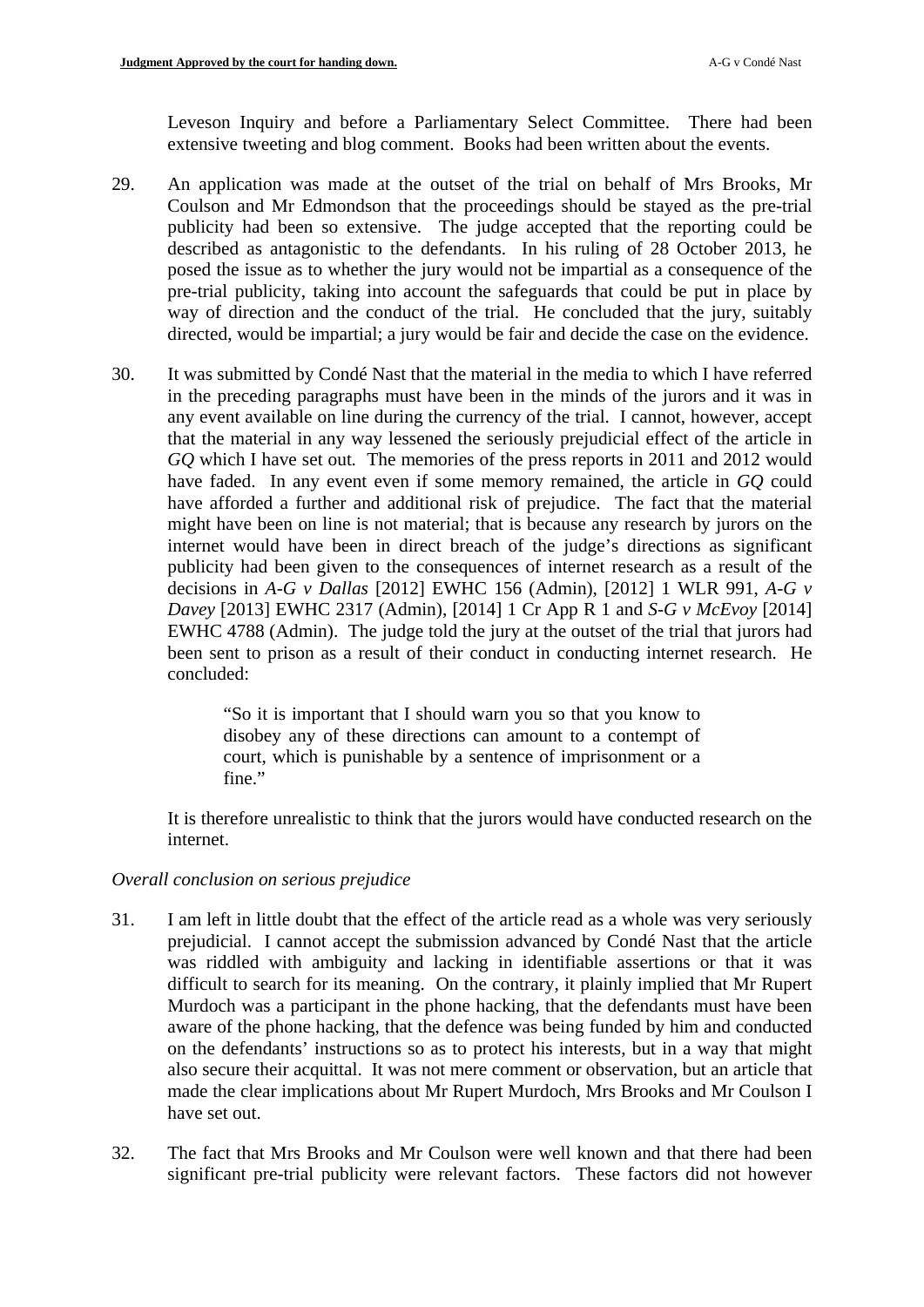Leveson Inquiry and before a Parliamentary Select Committee. There had been extensive tweeting and blog comment. Books had been written about the events.

- 29. An application was made at the outset of the trial on behalf of Mrs Brooks, Mr Coulson and Mr Edmondson that the proceedings should be stayed as the pre-trial publicity had been so extensive. The judge accepted that the reporting could be described as antagonistic to the defendants. In his ruling of 28 October 2013, he posed the issue as to whether the jury would not be impartial as a consequence of the pre-trial publicity, taking into account the safeguards that could be put in place by way of direction and the conduct of the trial. He concluded that the jury, suitably directed, would be impartial; a jury would be fair and decide the case on the evidence.
- 30. It was submitted by Condé Nast that the material in the media to which I have referred in the preceding paragraphs must have been in the minds of the jurors and it was in any event available on line during the currency of the trial. I cannot, however, accept that the material in any way lessened the seriously prejudicial effect of the article in *GQ* which I have set out*.* The memories of the press reports in 2011 and 2012 would have faded. In any event even if some memory remained, the article in *GQ* could have afforded a further and additional risk of prejudice. The fact that the material might have been on line is not material; that is because any research by jurors on the internet would have been in direct breach of the judge's directions as significant publicity had been given to the consequences of internet research as a result of the decisions in *A-G v Dallas* [2012] EWHC 156 (Admin), [2012] 1 WLR 991, *A-G v Davey* [2013] EWHC 2317 (Admin), [2014] 1 Cr App R 1 and *S-G v McEvoy* [2014] EWHC 4788 (Admin). The judge told the jury at the outset of the trial that jurors had been sent to prison as a result of their conduct in conducting internet research. He concluded:

"So it is important that I should warn you so that you know to disobey any of these directions can amount to a contempt of court, which is punishable by a sentence of imprisonment or a fine."

It is therefore unrealistic to think that the jurors would have conducted research on the internet.

### *Overall conclusion on serious prejudice*

- 31. I am left in little doubt that the effect of the article read as a whole was very seriously prejudicial. I cannot accept the submission advanced by Condé Nast that the article was riddled with ambiguity and lacking in identifiable assertions or that it was difficult to search for its meaning. On the contrary, it plainly implied that Mr Rupert Murdoch was a participant in the phone hacking, that the defendants must have been aware of the phone hacking, that the defence was being funded by him and conducted on the defendants' instructions so as to protect his interests, but in a way that might also secure their acquittal. It was not mere comment or observation, but an article that made the clear implications about Mr Rupert Murdoch, Mrs Brooks and Mr Coulson I have set out.
- 32. The fact that Mrs Brooks and Mr Coulson were well known and that there had been significant pre-trial publicity were relevant factors. These factors did not however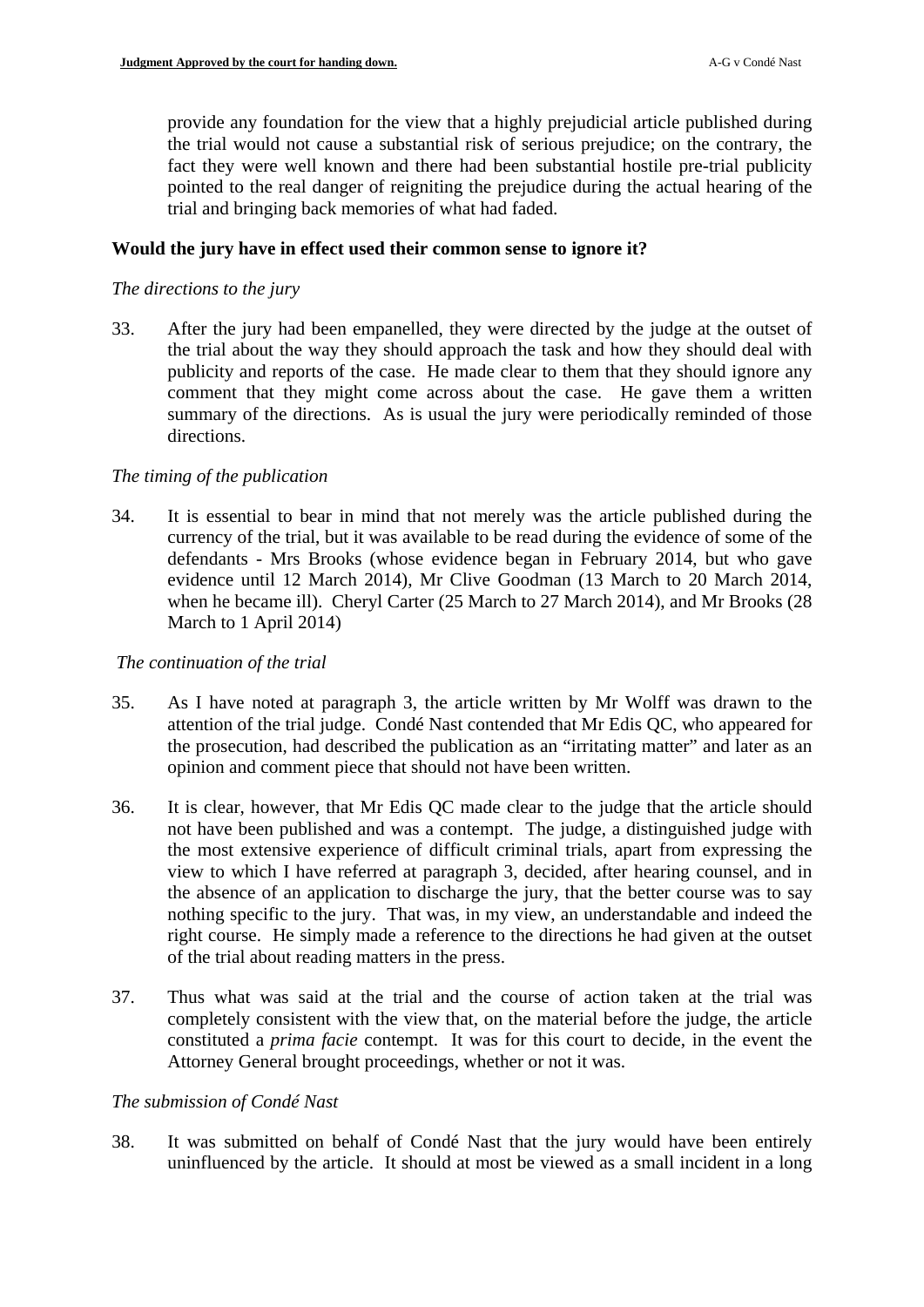provide any foundation for the view that a highly prejudicial article published during the trial would not cause a substantial risk of serious prejudice; on the contrary, the fact they were well known and there had been substantial hostile pre-trial publicity pointed to the real danger of reigniting the prejudice during the actual hearing of the trial and bringing back memories of what had faded.

### **Would the jury have in effect used their common sense to ignore it?**

### *The directions to the jury*

33. After the jury had been empanelled, they were directed by the judge at the outset of the trial about the way they should approach the task and how they should deal with publicity and reports of the case. He made clear to them that they should ignore any comment that they might come across about the case. He gave them a written summary of the directions. As is usual the jury were periodically reminded of those directions.

## *The timing of the publication*

34. It is essential to bear in mind that not merely was the article published during the currency of the trial, but it was available to be read during the evidence of some of the defendants - Mrs Brooks (whose evidence began in February 2014, but who gave evidence until 12 March 2014), Mr Clive Goodman (13 March to 20 March 2014, when he became ill). Cheryl Carter (25 March to 27 March 2014), and Mr Brooks (28 March to 1 April 2014)

### *The continuation of the trial*

- 35. As I have noted at paragraph [3,](#page-1-0) the article written by Mr Wolff was drawn to the attention of the trial judge. Condé Nast contended that Mr Edis QC, who appeared for the prosecution, had described the publication as an "irritating matter" and later as an opinion and comment piece that should not have been written.
- 36. It is clear, however, that Mr Edis QC made clear to the judge that the article should not have been published and was a contempt. The judge, a distinguished judge with the most extensive experience of difficult criminal trials, apart from expressing the view to which I have referred at paragraph [3,](#page-1-0) decided, after hearing counsel, and in the absence of an application to discharge the jury, that the better course was to say nothing specific to the jury. That was, in my view, an understandable and indeed the right course. He simply made a reference to the directions he had given at the outset of the trial about reading matters in the press.
- 37. Thus what was said at the trial and the course of action taken at the trial was completely consistent with the view that, on the material before the judge, the article constituted a *prima facie* contempt. It was for this court to decide, in the event the Attorney General brought proceedings, whether or not it was.

### *The submission of Condé Nast*

<span id="page-9-0"></span>38. It was submitted on behalf of Condé Nast that the jury would have been entirely uninfluenced by the article. It should at most be viewed as a small incident in a long